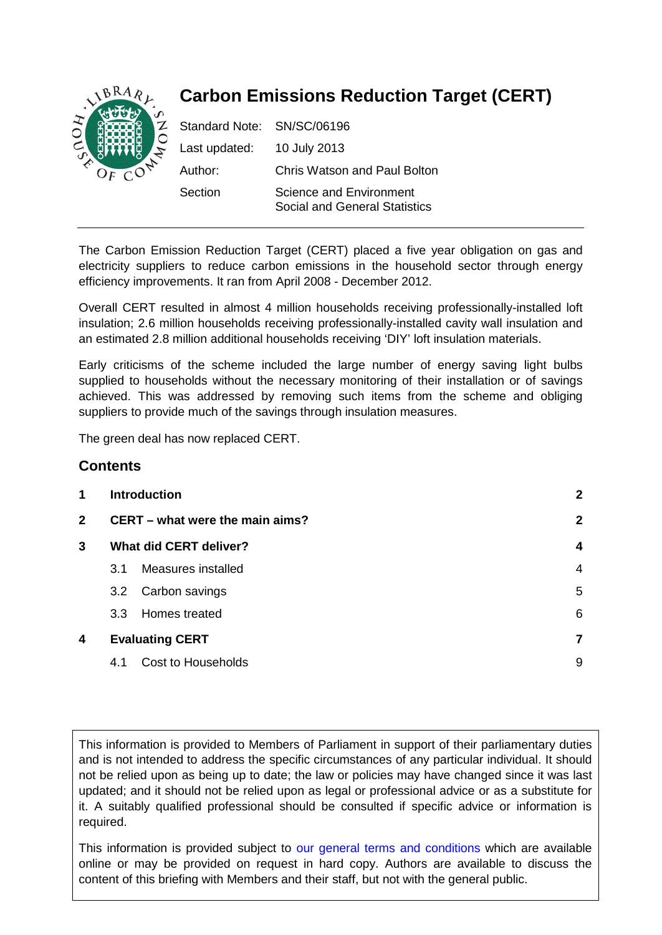

# **Carbon Emissions Reduction Target (CERT)**

| Standard Note: SN/SC/06196 |                                                          |
|----------------------------|----------------------------------------------------------|
| Last updated:              | 10 July 2013                                             |
| Author:                    | <b>Chris Watson and Paul Bolton</b>                      |
| Section                    | Science and Environment<br>Social and General Statistics |

The Carbon Emission Reduction Target (CERT) placed a five year obligation on gas and electricity suppliers to reduce carbon emissions in the household sector through energy efficiency improvements. It ran from April 2008 - December 2012.

Overall CERT resulted in almost 4 million households receiving professionally-installed loft insulation; 2.6 million households receiving professionally-installed cavity wall insulation and an estimated 2.8 million additional households receiving 'DIY' loft insulation materials.

Early criticisms of the scheme included the large number of energy saving light bulbs supplied to households without the necessary monitoring of their installation or of savings achieved. This was addressed by removing such items from the scheme and obliging suppliers to provide much of the savings through insulation measures.

The green deal has now replaced CERT.

# **Contents**

| 1              |                                 | <b>Introduction</b>           | $\mathbf{2}$            |
|----------------|---------------------------------|-------------------------------|-------------------------|
| $\overline{2}$ | CERT – what were the main aims? |                               | $\mathbf{2}$            |
| 3              |                                 | <b>What did CERT deliver?</b> | $\overline{\mathbf{4}}$ |
|                | 3.1                             | Measures installed            | $\overline{4}$          |
|                | 3.2                             | Carbon savings                | 5                       |
|                | 3.3 <sub>2</sub>                | Homes treated                 | 6                       |
| 4              |                                 | <b>Evaluating CERT</b>        | 7                       |
|                | 4.1                             | Cost to Households            | 9                       |
|                |                                 |                               |                         |

This information is provided to Members of Parliament in support of their parliamentary duties and is not intended to address the specific circumstances of any particular individual. It should not be relied upon as being up to date; the law or policies may have changed since it was last updated; and it should not be relied upon as legal or professional advice or as a substitute for it. A suitably qualified professional should be consulted if specific advice or information is required.

This information is provided subject to [our general terms and conditions](http://www.parliament.uk/site-information/copyright/) which are available online or may be provided on request in hard copy. Authors are available to discuss the content of this briefing with Members and their staff, but not with the general public.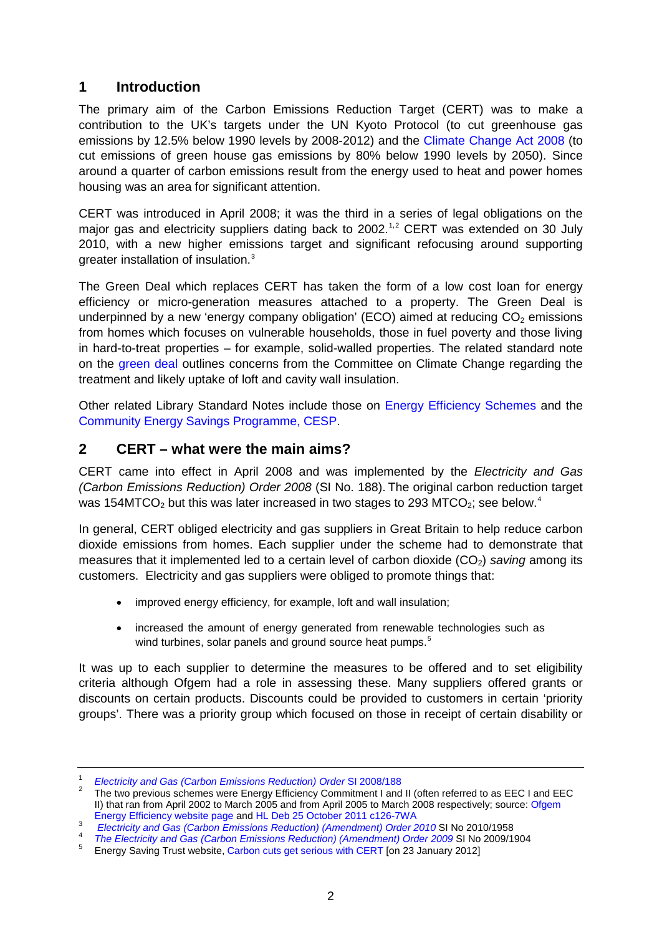# <span id="page-1-0"></span>**1 Introduction**

The primary aim of the Carbon Emissions Reduction Target (CERT) was to make a contribution to the UK's targets under the UN Kyoto Protocol (to cut greenhouse gas emissions by 12.5% below 1990 levels by 2008-2012) and the [Climate Change Act 2008](http://www.legislation.gov.uk/ukpga/2008/27/contents) (to cut emissions of green house gas emissions by 80% below 1990 levels by 2050). Since around a quarter of carbon emissions result from the energy used to heat and power homes housing was an area for significant attention.

CERT was introduced in April 2008; it was the third in a series of legal obligations on the major gas and electricity suppliers dating back to 2002.<sup>[1](#page-1-2),[2](#page-1-3)</sup> CERT was extended on 30 July 2010, with a new higher emissions target and significant refocusing around supporting greater installation of insulation.<sup>[3](#page-1-4)</sup>

The Green Deal which replaces CERT has taken the form of a low cost loan for energy efficiency or micro-generation measures attached to a property. The Green Deal is underpinned by a new 'energy company obligation' (ECO) aimed at reducing  $CO<sub>2</sub>$  emissions from homes which focuses on vulnerable households, those in fuel poverty and those living in hard-to-treat properties – for example, solid-walled properties. The related standard note on the [green deal](http://www.parliament.uk/briefing-papers/SN05763) outlines concerns from the Committee on Climate Change regarding the treatment and likely uptake of loft and cavity wall insulation.

Other related Library Standard Notes include those on [Energy Efficiency Schemes](http://www.parliament.uk/briefing-papers/SN05614) and the [Community Energy Savings Programme, CESP.](http://www.parliament.uk/briefing-papers/SN06197)

# <span id="page-1-1"></span>**2 CERT – what were the main aims?**

CERT came into effect in April 2008 and was implemented by the *Electricity and Gas (Carbon Emissions Reduction) Order 2008* (SI No. 188). The original carbon reduction target was 15[4](#page-1-5)MTCO<sub>2</sub> but this was later increased in two stages to 293 MTCO<sub>2</sub>; see below.<sup>4</sup>

In general, CERT obliged electricity and gas suppliers in Great Britain to help reduce carbon dioxide emissions from homes. Each supplier under the scheme had to demonstrate that measures that it implemented led to a certain level of carbon dioxide (CO<sub>2</sub>) *saving* among its customers. Electricity and gas suppliers were obliged to promote things that:

- improved energy efficiency, for example, loft and wall insulation;
- increased the amount of energy generated from renewable technologies such as wind turbines, solar panels and ground source heat pumps.<sup>[5](#page-1-6)</sup>

It was up to each supplier to determine the measures to be offered and to set eligibility criteria although Ofgem had a role in assessing these. Many suppliers offered grants or discounts on certain products. Discounts could be provided to customers in certain 'priority groups'. There was a priority group which focused on those in receipt of certain disability or

<span id="page-1-3"></span><span id="page-1-2"></span><sup>&</sup>lt;sup>1</sup> *[Electricity and Gas \(Carbon Emissions Reduction\) Order](http://www.legislation.gov.uk/uksi/2008/188/made) SI 2008/188*<br><sup>2</sup> The two previous schemes were Energy Efficiency Commitment I and II (often referred to as EEC I and EEC II) that ran from April 2002 to March 2005 and from April 2005 to March 2008 respectively; source: Ofgem

<span id="page-1-4"></span>

[Energy Efficiency website page](http://www.ofgem.gov.uk/Sustainability/Environment/EnergyEff/Documents1/2425-eesp98-2000.pdf) and [HL Deb 25 October 2011 c126-7WA](http://www.publications.parliament.uk/pa/ld201011/ldhansrd/text/111025w0001.htm#11102553000331)<br> [Electricity and Gas \(Carbon Emissions Reduction\) \(Amendment\) Order 2010](http://www.legislation.gov.uk/uksi/2010/1958/made) SI No 2010/1958<br>
The Electricity and Gas (Carbon Emissions Reduction) (Amendment)

<span id="page-1-6"></span><span id="page-1-5"></span>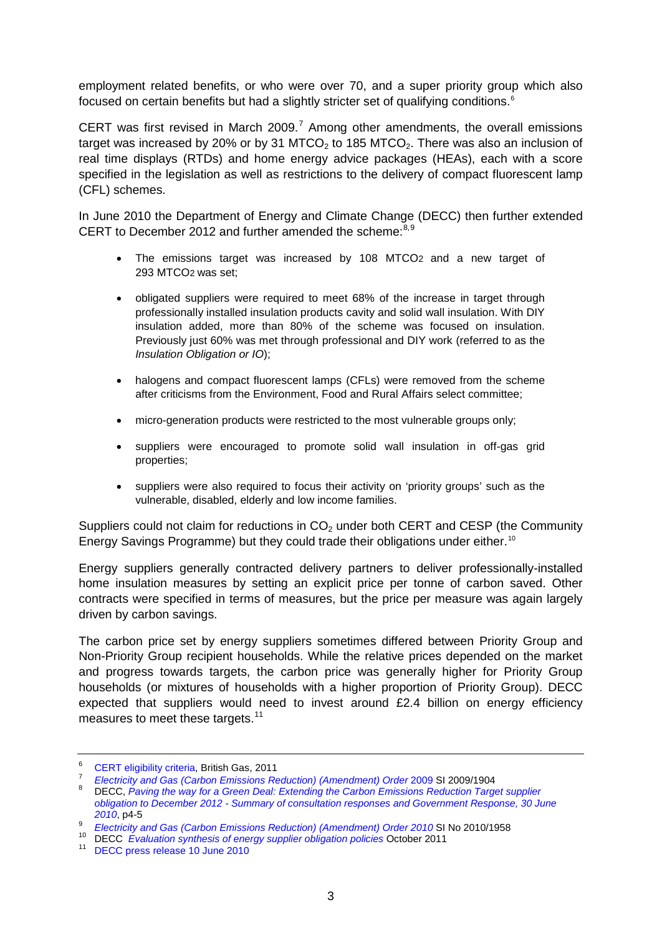employment related benefits, or who were over 70, and a super priority group which also focused on certain benefits but had a slightly stricter set of qualifying conditions. $^{\text{6}}$  $^{\text{6}}$  $^{\text{6}}$ 

CERT was first revised in March 2009.<sup>[7](#page-2-1)</sup> Among other amendments, the overall emissions target was increased by 20% or by 31 MTCO<sub>2</sub> to 185 MTCO<sub>2</sub>. There was also an inclusion of real time displays (RTDs) and home energy advice packages (HEAs), each with a score specified in the legislation as well as restrictions to the delivery of compact fluorescent lamp (CFL) schemes.

In June 2010 the Department of Energy and Climate Change (DECC) then further extended CERT to December 2012 and further amended the scheme:<sup>[8,](#page-2-2)[9](#page-2-3)</sup>

- The emissions target was increased by 108 MTCO2 and a new target of 293 MTCO2 was set;
- obligated suppliers were required to meet 68% of the increase in target through professionally installed insulation products cavity and solid wall insulation. With DIY insulation added, more than 80% of the scheme was focused on insulation. Previously just 60% was met through professional and DIY work (referred to as the *Insulation Obligation or IO*);
- halogens and compact fluorescent lamps (CFLs) were removed from the scheme after criticisms from the Environment, Food and Rural Affairs select committee;
- micro-generation products were restricted to the most vulnerable groups only;
- suppliers were encouraged to promote solid wall insulation in off-gas grid properties;
- suppliers were also required to focus their activity on 'priority groups' such as the vulnerable, disabled, elderly and low income families.

Suppliers could not claim for reductions in  $CO<sub>2</sub>$  under both CERT and CESP (the Community Energy Savings Programme) but they could trade their obligations under either.<sup>[10](#page-2-4)</sup>

Energy suppliers generally contracted delivery partners to deliver professionally-installed home insulation measures by setting an explicit price per tonne of carbon saved. Other contracts were specified in terms of measures, but the price per measure was again largely driven by carbon savings.

The carbon price set by energy suppliers sometimes differed between Priority Group and Non-Priority Group recipient households. While the relative prices depended on the market and progress towards targets, the carbon price was generally higher for Priority Group households (or mixtures of households with a higher proportion of Priority Group). DECC expected that suppliers would need to invest around £2.4 billion on energy efficiency measures to meet these targets.<sup>[11](#page-2-5)</sup>

<span id="page-2-2"></span><span id="page-2-1"></span>

<span id="page-2-0"></span><sup>&</sup>lt;sup>6</sup> [CERT eligibility criteria,](http://lsx.org.uk/docs/events/3539/British%20Gas%20CERT%20-%20Green%20DealECO%20-%20HANDOUTS.pdf) British Gas, 2011<br><sup>7</sup> [Electricity and Gas \(Carbon Emissions Reduction\) \(Amendment\) Order](http://www.legislation.gov.uk/uksi/2009/1904/made) 2009 SI 2009/1904<br><sup>8</sup> DECC, Paving the way for a Green Deal: Extending the Carbon Emissions Reduction *obligation to December 2012 - [Summary of consultation responses and Government Response, 30 June](http://www.decc.gov.uk/media/viewfile.ashx?filetype=4&filepath=Consultations/certextension/certextgovresponse.pdf&minwidth=true)  [2010](http://www.decc.gov.uk/media/viewfile.ashx?filetype=4&filepath=Consultations/certextension/certextgovresponse.pdf&minwidth=true)*, p4-5

<span id="page-2-3"></span><sup>&</sup>lt;sup>9</sup> *[Electricity and Gas \(Carbon Emissions Reduction\) \(Amendment\) Order 2010](http://www.legislation.gov.uk/uksi/2010/1958/made) SI No 2010/1958*<br><sup>10</sup> DECC *Evaluation synthesis of energy supplier obligation policies October 2011*<br><sup>11</sup> [DECC press release 10 June 2010](http://www.decc.gov.uk/en/content/cms/news/pn10_075/pn10_075.aspx)

<span id="page-2-4"></span>

<span id="page-2-5"></span>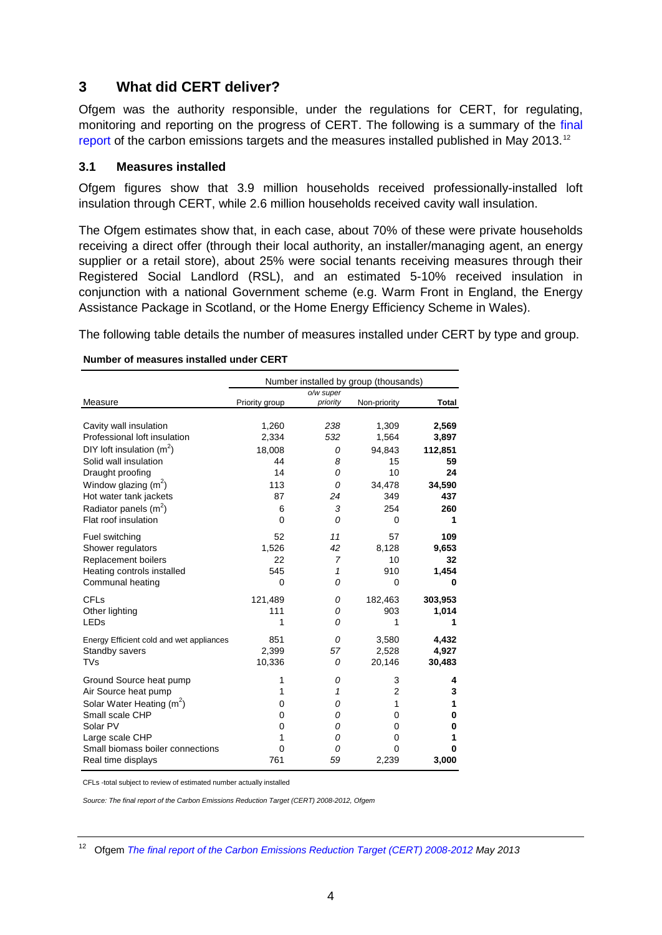## <span id="page-3-0"></span>**3 What did CERT deliver?**

Ofgem was the authority responsible, under the regulations for CERT, for regulating, monitoring and reporting on the progress of CERT. The following is a summary of the final [report](http://www.ofgem.gov.uk/Sustainability/Environment/EnergyEff/Documents1/CERT_FinalReport2013_300413.pdf) of the carbon emissions targets and the measures installed published in May 2013.<sup>[12](#page-3-2)</sup>

#### <span id="page-3-1"></span>**3.1 Measures installed**

Ofgem figures show that 3.9 million households received professionally-installed loft insulation through CERT, while 2.6 million households received cavity wall insulation.

The Ofgem estimates show that, in each case, about 70% of these were private households receiving a direct offer (through their local authority, an installer/managing agent, an energy supplier or a retail store), about 25% were social tenants receiving measures through their Registered Social Landlord (RSL), and an estimated 5-10% received insulation in conjunction with a national Government scheme (e.g. Warm Front in England, the Energy Assistance Package in Scotland, or the Home Energy Efficiency Scheme in Wales).

The following table details the number of measures installed under CERT by type and group.

#### **Number of measures installed under CERT**

| Number installed by group (thousands) |                                                                    |                                         |                                                                  |  |
|---------------------------------------|--------------------------------------------------------------------|-----------------------------------------|------------------------------------------------------------------|--|
|                                       | o/w super                                                          |                                         |                                                                  |  |
| Priority group                        | priority                                                           | Non-priority                            | Total                                                            |  |
|                                       |                                                                    |                                         |                                                                  |  |
| 1,260                                 | 238                                                                | 1,309                                   | 2,569                                                            |  |
| 2,334                                 | 532                                                                | 1,564                                   | 3,897                                                            |  |
| 18,008                                | 0                                                                  | 94,843                                  | 112,851                                                          |  |
| 44                                    | 8                                                                  | 15                                      | 59                                                               |  |
| 14                                    | 0                                                                  | 10                                      | 24                                                               |  |
| 113                                   | 0                                                                  | 34,478                                  | 34,590                                                           |  |
| 87                                    | 24                                                                 | 349                                     | 437                                                              |  |
| 6                                     | 3                                                                  | 254                                     | 260                                                              |  |
| $\Omega$                              | 0                                                                  | $\Omega$                                | 1                                                                |  |
|                                       |                                                                    |                                         |                                                                  |  |
|                                       |                                                                    |                                         | 109                                                              |  |
|                                       |                                                                    |                                         | 9,653                                                            |  |
|                                       |                                                                    |                                         | 32                                                               |  |
|                                       |                                                                    |                                         | 1,454                                                            |  |
|                                       |                                                                    |                                         | 0                                                                |  |
|                                       | 0                                                                  | 182,463                                 | 303,953                                                          |  |
| 111                                   | 0                                                                  | 903                                     | 1,014                                                            |  |
| 1                                     | 0                                                                  | 1                                       |                                                                  |  |
|                                       |                                                                    |                                         |                                                                  |  |
|                                       |                                                                    |                                         | 4,432                                                            |  |
|                                       |                                                                    |                                         | 4,927                                                            |  |
|                                       |                                                                    |                                         | 30,483                                                           |  |
| 1                                     | 0                                                                  | 3                                       | 4                                                                |  |
| 1                                     | 1                                                                  | $\overline{2}$                          | 3                                                                |  |
| 0                                     | 0                                                                  | 1                                       | 1                                                                |  |
| 0                                     | 0                                                                  | 0                                       | 0                                                                |  |
| 0                                     | 0                                                                  | 0                                       | 0                                                                |  |
| 1                                     | 0                                                                  | 0                                       | 1                                                                |  |
| 0                                     | 0                                                                  | 0                                       | 0                                                                |  |
| 761                                   | 59                                                                 | 2,239                                   | 3,000                                                            |  |
|                                       | 52<br>1,526<br>22<br>545<br>0<br>121,489<br>851<br>2,399<br>10,336 | 11<br>42<br>7<br>1<br>0<br>0<br>57<br>0 | 57<br>8,128<br>10<br>910<br>$\Omega$<br>3,580<br>2,528<br>20,146 |  |

CFLs -total subject to review of estimated number actually installed

*Source: The final report of the Carbon Emissions Reduction Target (CERT) 2008-2012, Ofgem*

<span id="page-3-2"></span><sup>12</sup> Ofgem *[The final report of the Carbon Emissions Reduction Target \(CERT\) 2008-2012](http://www.ofgem.gov.uk/Sustainability/Environment/EnergyEff/Documents1/CERT_FinalReport2013_300413.pdf) May 2013*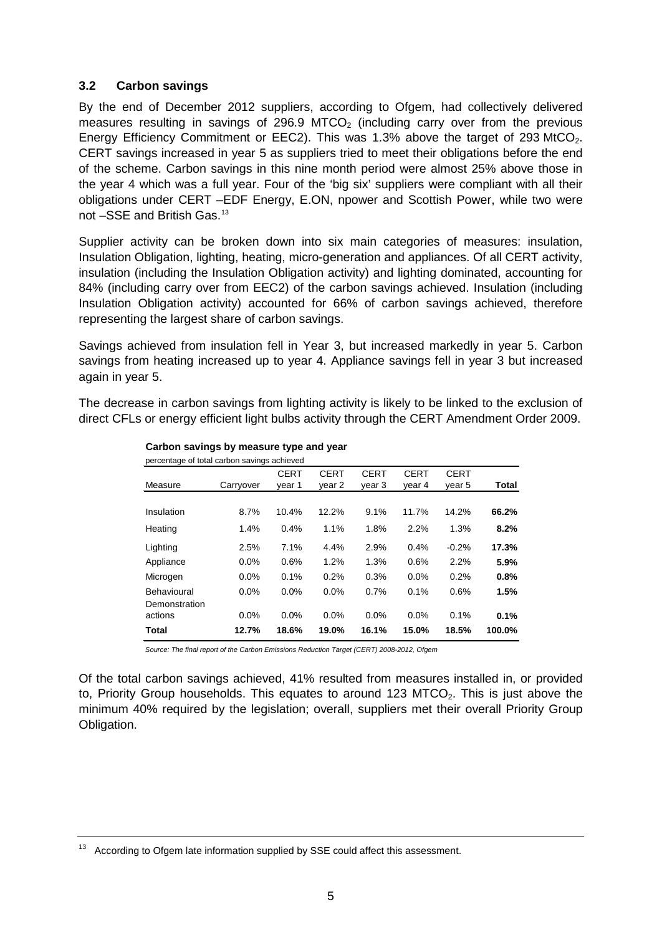### <span id="page-4-0"></span>**3.2 Carbon savings**

By the end of December 2012 suppliers, according to Ofgem, had collectively delivered measures resulting in savings of 296.9 MTCO<sub>2</sub> (including carry over from the previous Energy Efficiency Commitment or EEC2). This was 1.3% above the target of 293 MtCO<sub>2</sub>. CERT savings increased in year 5 as suppliers tried to meet their obligations before the end of the scheme. Carbon savings in this nine month period were almost 25% above those in the year 4 which was a full year. Four of the 'big six' suppliers were compliant with all their obligations under CERT –EDF Energy, E.ON, npower and Scottish Power, while two were not –SSE and British Gas.[13](#page-4-1)

Supplier activity can be broken down into six main categories of measures: insulation, Insulation Obligation, lighting, heating, micro-generation and appliances. Of all CERT activity, insulation (including the Insulation Obligation activity) and lighting dominated, accounting for 84% (including carry over from EEC2) of the carbon savings achieved. Insulation (including Insulation Obligation activity) accounted for 66% of carbon savings achieved, therefore representing the largest share of carbon savings.

Savings achieved from insulation fell in Year 3, but increased markedly in year 5. Carbon savings from heating increased up to year 4. Appliance savings fell in year 3 but increased again in year 5.

The decrease in carbon savings from lighting activity is likely to be linked to the exclusion of direct CFLs or energy efficient light bulbs activity through the CERT Amendment Order 2009.

| percentage of total carbon savings achieved |           |             |             |             |             |             |        |
|---------------------------------------------|-----------|-------------|-------------|-------------|-------------|-------------|--------|
|                                             |           | <b>CERT</b> | <b>CERT</b> | <b>CERT</b> | <b>CERT</b> | <b>CERT</b> |        |
| Measure                                     | Carryover | vear 1      | year 2      | year 3      | year 4      | year 5      | Total  |
|                                             |           |             |             |             |             |             |        |
| Insulation                                  | 8.7%      | 10.4%       | 12.2%       | 9.1%        | 11.7%       | 14.2%       | 66.2%  |
| Heating                                     | 1.4%      | 0.4%        | 1.1%        | 1.8%        | 2.2%        | 1.3%        | 8.2%   |
| Lighting                                    | 2.5%      | 7.1%        | 4.4%        | 2.9%        | 0.4%        | $-0.2%$     | 17.3%  |
| Appliance                                   | 0.0%      | 0.6%        | 1.2%        | 1.3%        | 0.6%        | 2.2%        | 5.9%   |
| Microgen                                    | 0.0%      | 0.1%        | 0.2%        | 0.3%        | 0.0%        | 0.2%        | 0.8%   |
| Behavioural                                 | 0.0%      | 0.0%        | 0.0%        | 0.7%        | 0.1%        | 0.6%        | 1.5%   |
| Demonstration                               |           |             |             |             |             |             |        |
| actions                                     | 0.0%      | 0.0%        | 0.0%        | 0.0%        | 0.0%        | 0.1%        | 0.1%   |
| Total                                       | 12.7%     | 18.6%       | 19.0%       | 16.1%       | 15.0%       | 18.5%       | 100.0% |

# **Carbon savings by measure type and year**

*Source: The final report of the Carbon Emissions Reduction Target (CERT) 2008-2012, Ofgem*

Of the total carbon savings achieved, 41% resulted from measures installed in, or provided to, Priority Group households. This equates to around 123 MTCO<sub>2</sub>. This is just above the minimum 40% required by the legislation; overall, suppliers met their overall Priority Group Obligation.

<span id="page-4-1"></span> $13$  According to Ofgem late information supplied by SSE could affect this assessment.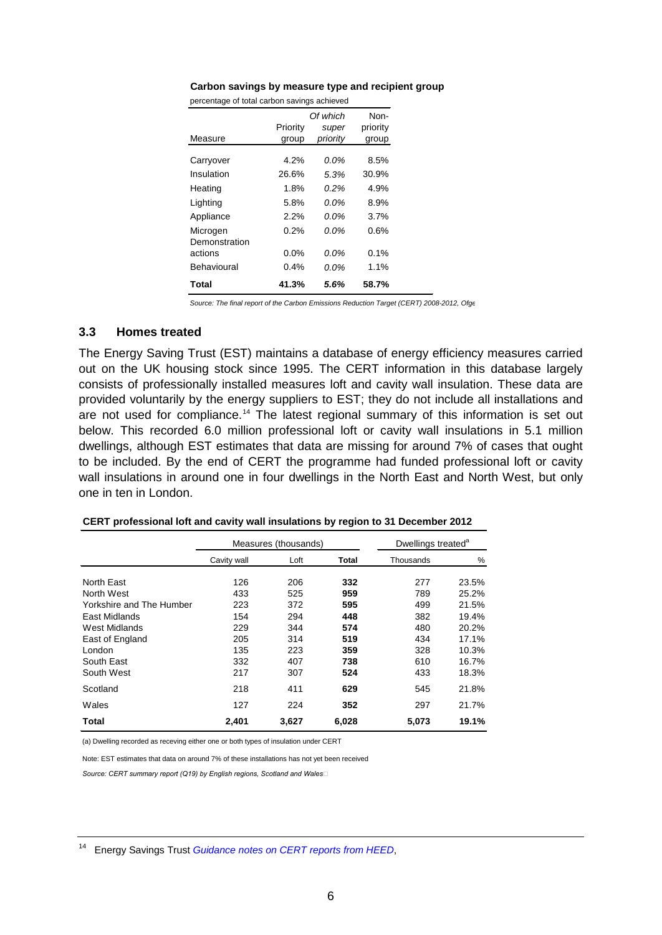#### **Carbon savings by measure type and recipient group**

percentage of total carbon savings achieved

|                           | Priority | Of which<br>super | Non-<br>priority |
|---------------------------|----------|-------------------|------------------|
| Measure                   | group    | priority          | group            |
| Carryover                 | 4.2%     | 0.0%              | 8.5%             |
| Insulation                | 26.6%    | 5.3%              | 30.9%            |
| Heating                   | 1.8%     | 0.2%              | 4.9%             |
| Lighting                  | 5.8%     | $0.0\%$           | 8.9%             |
| Appliance                 | 2.2%     | $0.0\%$           | 3.7%             |
| Microgen<br>Demonstration | 0.2%     | $0.0\%$           | 0.6%             |
| actions                   | 0.0%     | $0.0\%$           | 0.1%             |
| Behavioural               | 0.4%     | 0.0%              | 1.1%             |
| Total                     | 41.3%    | 5.6%              | 58.7%            |

*Source: The final report of the Carbon Emissions Reduction Target (CERT) 2008-2012, Ofge*

#### <span id="page-5-0"></span>**3.3 Homes treated**

The Energy Saving Trust (EST) maintains a database of energy efficiency measures carried out on the UK housing stock since 1995. The CERT information in this database largely consists of professionally installed measures loft and cavity wall insulation. These data are provided voluntarily by the energy suppliers to EST; they do not include all installations and are not used for compliance.<sup>[14](#page-5-1)</sup> The latest regional summary of this information is set out below. This recorded 6.0 million professional loft or cavity wall insulations in 5.1 million dwellings, although EST estimates that data are missing for around 7% of cases that ought to be included. By the end of CERT the programme had funded professional loft or cavity wall insulations in around one in four dwellings in the North East and North West, but only one in ten in London.

|                          |             | Measures (thousands) | Dwellings treated <sup>a</sup> |           |       |
|--------------------------|-------------|----------------------|--------------------------------|-----------|-------|
|                          | Cavity wall | Loft                 | Total                          | Thousands | %     |
| North East               | 126         | 206                  | 332                            | 277       | 23.5% |
| North West               | 433         | 525                  | 959                            | 789       | 25.2% |
| Yorkshire and The Humber | 223         | 372                  | 595                            | 499       | 21.5% |
| East Midlands            | 154         | 294                  | 448                            | 382       | 19.4% |
| West Midlands            | 229         | 344                  | 574                            | 480       | 20.2% |
| East of England          | 205         | 314                  | 519                            | 434       | 17.1% |
| London                   | 135         | 223                  | 359                            | 328       | 10.3% |
| South East               | 332         | 407                  | 738                            | 610       | 16.7% |
| South West               | 217         | 307                  | 524                            | 433       | 18.3% |
| Scotland                 | 218         | 411                  | 629                            | 545       | 21.8% |
| Wales                    | 127         | 224                  | 352                            | 297       | 21.7% |
| Total                    | 2,401       | 3,627                | 6,028                          | 5,073     | 19.1% |

#### **CERT professional loft and cavity wall insulations by region to 31 December 2012**

(a) Dwelling recorded as receving either one or both types of insulation under CERT

Note: EST estimates that data on around 7% of these installations has not yet been received

*Source: CERT summary report (Q19) by English regions, Scotland and Wales* 

<span id="page-5-1"></span><sup>14</sup> Energy Savings Trust *[Guidance notes on CERT reports from HEED](http://www.energysavingtrust.org.uk/Publications2/Housing-professionals/HEED-PDFs/HEED-publications-for-UK/Guidance-notes-on-CERT-reports-from-HEED)*,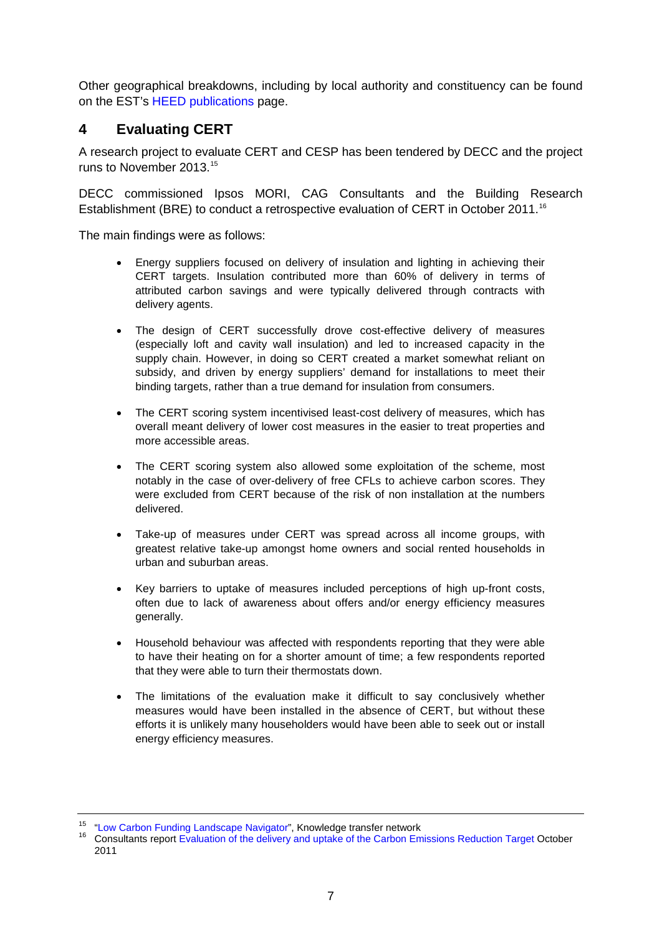Other geographical breakdowns, including by local authority and constituency can be found on the EST's [HEED publications](http://www.energysavingtrust.org.uk/Publications2/Housing-professionals/HEED-PDFs/HEED-publications-for-UK/Guidance-notes-on-CERT-reports-from-HEED) page.

# <span id="page-6-0"></span>**4 Evaluating CERT**

A research project to evaluate CERT and CESP has been tendered by DECC and the project runs to November 2013. [15](#page-6-1)

DECC commissioned Ipsos MORI, CAG Consultants and the Building Research Establishment (BRE) to conduct a retrospective evaluation of CERT in October 2011.<sup>[16](#page-6-2)</sup>

The main findings were as follows:

- Energy suppliers focused on delivery of insulation and lighting in achieving their CERT targets. Insulation contributed more than 60% of delivery in terms of attributed carbon savings and were typically delivered through contracts with delivery agents.
- The design of CERT successfully drove cost-effective delivery of measures (especially loft and cavity wall insulation) and led to increased capacity in the supply chain. However, in doing so CERT created a market somewhat reliant on subsidy, and driven by energy suppliers' demand for installations to meet their binding targets, rather than a true demand for insulation from consumers.
- The CERT scoring system incentivised least-cost delivery of measures, which has overall meant delivery of lower cost measures in the easier to treat properties and more accessible areas.
- The CERT scoring system also allowed some exploitation of the scheme, most notably in the case of over-delivery of free CFLs to achieve carbon scores. They were excluded from CERT because of the risk of non installation at the numbers delivered.
- Take-up of measures under CERT was spread across all income groups, with greatest relative take-up amongst home owners and social rented households in urban and suburban areas.
- Key barriers to uptake of measures included perceptions of high up-front costs, often due to lack of awareness about offers and/or energy efficiency measures generally.
- Household behaviour was affected with respondents reporting that they were able to have their heating on for a shorter amount of time; a few respondents reported that they were able to turn their thermostats down.
- The limitations of the evaluation make it difficult to say conclusively whether measures would have been installed in the absence of CERT, but without these efforts it is unlikely many householders would have been able to seek out or install energy efficiency measures.

<span id="page-6-2"></span><span id="page-6-1"></span><sup>&</sup>lt;sup>15</sup> ["Low Carbon Funding Landscape Navigator"](http://www.lowcarbonfunding.org.uk/opportunity/supply-of-an-evaluation-of-the-carbon-emissions-reduction-target-cert-and-the-community-energy-saving-programme-cesp-focusing-on-the-delivery-of-the-schemes-against-their-objectives-and-key-lessons-for-the-fut), Knowledge transfer network<br><sup>16</sup> Consultants report [Evaluation of the delivery and uptake of the Carbon Emissions Reduction Target](http://www.decc.gov.uk/assets/decc/11/funding-support/3339-evaluation-of-the-delivery-and-uptake-of-the-carbo.pdf) October 2011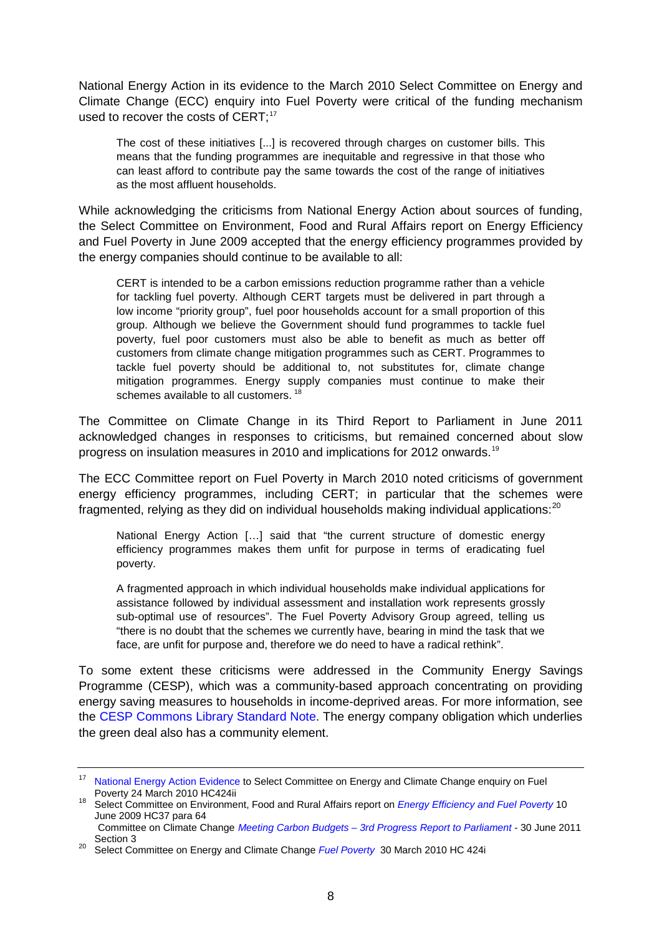National Energy Action in its evidence to the March 2010 Select Committee on Energy and Climate Change (ECC) enquiry into Fuel Poverty were critical of the funding mechanism used to recover the costs of CERT;<sup>[17](#page-7-0)</sup>

The cost of these initiatives [...] is recovered through charges on customer bills. This means that the funding programmes are inequitable and regressive in that those who can least afford to contribute pay the same towards the cost of the range of initiatives as the most affluent households.

While acknowledging the criticisms from National Energy Action about sources of funding, the Select Committee on Environment, Food and Rural Affairs report on Energy Efficiency and Fuel Poverty in June 2009 accepted that the energy efficiency programmes provided by the energy companies should continue to be available to all:

CERT is intended to be a carbon emissions reduction programme rather than a vehicle for tackling fuel poverty. Although CERT targets must be delivered in part through a low income "priority group", fuel poor households account for a small proportion of this group. Although we believe the Government should fund programmes to tackle fuel poverty, fuel poor customers must also be able to benefit as much as better off customers from climate change mitigation programmes such as CERT. Programmes to tackle fuel poverty should be additional to, not substitutes for, climate change mitigation programmes. Energy supply companies must continue to make their schemes available to all customers.<sup>[18](#page-7-1)</sup>

The Committee on Climate Change in its Third Report to Parliament in June 2011 acknowledged changes in responses to criticisms, but remained concerned about slow progress on insulation measures in 2010 and implications for 2012 onwards.[19](#page-7-2)

The ECC Committee report on Fuel Poverty in March 2010 noted criticisms of government energy efficiency programmes, including CERT; in particular that the schemes were fragmented, relying as they did on individual households making individual applications: $^{20}$  $^{20}$  $^{20}$ 

National Energy Action […] said that "the current structure of domestic energy efficiency programmes makes them unfit for purpose in terms of eradicating fuel poverty.

A fragmented approach in which individual households make individual applications for assistance followed by individual assessment and installation work represents grossly sub-optimal use of resources". The Fuel Poverty Advisory Group agreed, telling us "there is no doubt that the schemes we currently have, bearing in mind the task that we face, are unfit for purpose and, therefore we do need to have a radical rethink".

To some extent these criticisms were addressed in the Community Energy Savings Programme (CESP), which was a community-based approach concentrating on providing energy saving measures to households in income-deprived areas. For more information, see the [CESP Commons Library Standard Note.](http://www.parliament.uk/briefing-papers/SN06197) The energy company obligation which underlies the green deal also has a community element.

<span id="page-7-0"></span><sup>&</sup>lt;sup>17</sup> [National Energy Action Evidence](http://www.publications.parliament.uk/pa/cm200910/cmselect/cmenergy/424/424we28.htm) to Select Committee on Energy and Climate Change enquiry on Fuel<br>Poverty 24 March 2010 HC424ii

<span id="page-7-1"></span>Poverty 24 March 2010 HC424ii <sup>18</sup> Select Committee on Environment, Food and Rural Affairs report on *[Energy Efficiency and Fuel Poverty](http://www.publications.parliament.uk/pa/cm200809/cmselect/cmenvfru/37/3702.htm)* <sup>10</sup> June 2009 HC37 para 64 Committee on Climate Change *Meeting Carbon Budgets – [3rd Progress Report to Parliament](http://www.theccc.org.uk/reports/3rd-progress-report)* - 30 June 2011

<span id="page-7-2"></span>Section 3 <sup>20</sup> Select Committee on Energy and Climate Change *[Fuel Poverty](http://www.publications.parliament.uk/pa/cm200910/cmselect/cmenergy/424/42402.htm)* 30 March 2010 HC 424i

<span id="page-7-3"></span>